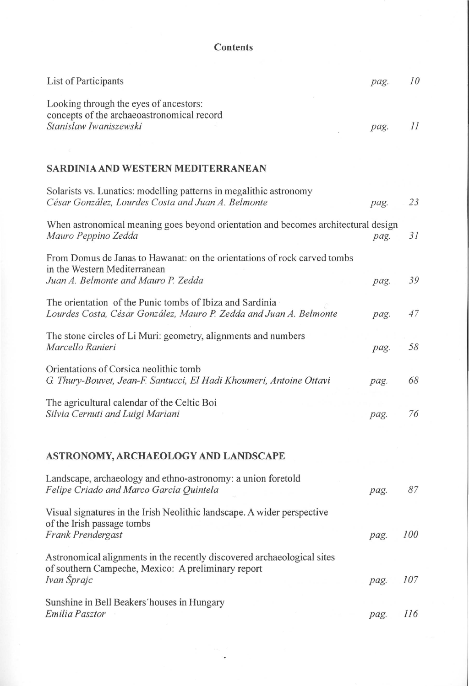## **Contents**

| List of Participants                                                                                                                            | pag. | 10  |
|-------------------------------------------------------------------------------------------------------------------------------------------------|------|-----|
| Looking through the eyes of ancestors:<br>concepts of the archaeoastronomical record<br>Stanislaw Iwaniszewski                                  | pag. | II  |
|                                                                                                                                                 |      |     |
| SARDINIA AND WESTERN MEDITERRANEAN                                                                                                              |      |     |
| Solarists vs. Lunatics: modelling patterns in megalithic astronomy<br>César González, Lourdes Costa and Juan A. Belmonte                        | pag. | 23  |
| When astronomical meaning goes beyond orientation and becomes architectural design<br>Mauro Peppino Zedda                                       | pag. | 31  |
| From Domus de Janas to Hawanat: on the orientations of rock carved tombs<br>in the Western Mediterranean<br>Juan A. Belmonte and Mauro P. Zedda | pag. | 39  |
| The orientation of the Punic tombs of Ibiza and Sardinia<br>Lourdes Costa, César González, Mauro P. Zedda and Juan A. Belmonte                  | pag. | 47  |
| The stone circles of Li Muri: geometry, alignments and numbers<br>Marcello Ranieri                                                              | pag. | 58  |
| Orientations of Corsica neolithic tomb<br>G. Thury-Bouvet, Jean-F. Santucci, El Hadi Khoumeri, Antoine Ottavi                                   | pag. | 68  |
| The agricultural calendar of the Celtic Boi<br>Silvia Cernuti and Luigi Mariani                                                                 | pag. | 76  |
| ASTRONOMY, ARCHAEOLOGY AND LANDSCAPE                                                                                                            |      |     |
| Landscape, archaeology and ethno-astronomy: a union foretold<br>Felipe Criado and Marco García Quintela                                         | pag. | 87  |
| Visual signatures in the Irish Neolithic landscape. A wider perspective<br>of the Irish passage tombs<br>Frank Prendergast                      | pag. | 100 |
| Astronomical alignments in the recently discovered archaeological sites<br>of southern Campeche, Mexico: A preliminary report<br>Ivan Šprajc    | pag. | 107 |
| Sunshine in Bell Beakers' houses in Hungary<br>Emilia Pasztor                                                                                   | pag. | 116 |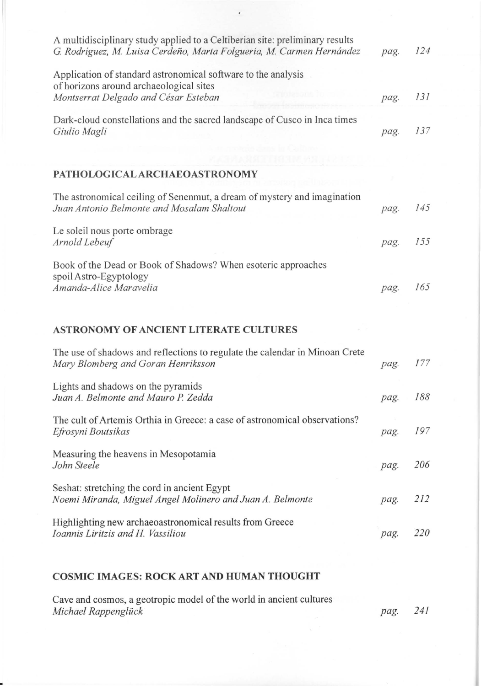| A multidisciplinary study applied to a Celtiberian site: preliminary results<br>G. Rodríguez, M. Luisa Cerdeño, Marta Folgueria, M. Carmen Hernández | pag. | 124 |
|------------------------------------------------------------------------------------------------------------------------------------------------------|------|-----|
| Application of standard astronomical software to the analysis<br>of horizons around archaeological sites<br>Montserrat Delgado and César Esteban     | pag. | 131 |
| Dark-cloud constellations and the sacred landscape of Cusco in Inca times<br>Giulio Magli                                                            | pag. | 137 |
| <b>PATHOLOGICAL ARCHAEOASTRONOMY</b>                                                                                                                 |      |     |
| The astronomical ceiling of Senenmut, a dream of mystery and imagination<br>Juan Antonio Belmonte and Mosalam Shaltout                               | pag. | 145 |
| Le soleil nous porte ombrage<br>Arnold Lebeuf                                                                                                        | pag. | 155 |
| Book of the Dead or Book of Shadows? When esoteric approaches<br>spoil Astro-Egyptology<br>Amanda-Alice Maravelia                                    | pag. | 165 |
| <b>ASTRONOMY OF ANCIENT LITERATE CULTURES</b>                                                                                                        |      |     |
| The use of shadows and reflections to regulate the calendar in Minoan Crete<br>Mary Blomberg and Goran Henriksson                                    | pag. | 177 |
| Lights and shadows on the pyramids<br>Juan A. Belmonte and Mauro P. Zedda                                                                            | pag. | 188 |
| The cult of Artemis Orthia in Greece: a case of astronomical observations?<br>Efrosyni Boutsikas                                                     | pag. | 197 |
| Measuring the heavens in Mesopotamia<br>John Steele                                                                                                  | pag. | 206 |
| Seshat: stretching the cord in ancient Egypt<br>Noemi Miranda, Miguel Angel Molinero and Juan A. Belmonte                                            | pag. | 212 |
| Highlighting new archaeoastronomical results from Greece<br>Ioannis Liritzis and H. Vassiliou                                                        | pag. | 220 |
|                                                                                                                                                      |      |     |

## **COSMIC IMAGES: ROCK ART AND HUMAN THOUGHT**

| Cave and cosmos, a geotropic model of the world in ancient cultures |      |     |
|---------------------------------------------------------------------|------|-----|
| Michael Rappenglück                                                 | pag. | 241 |